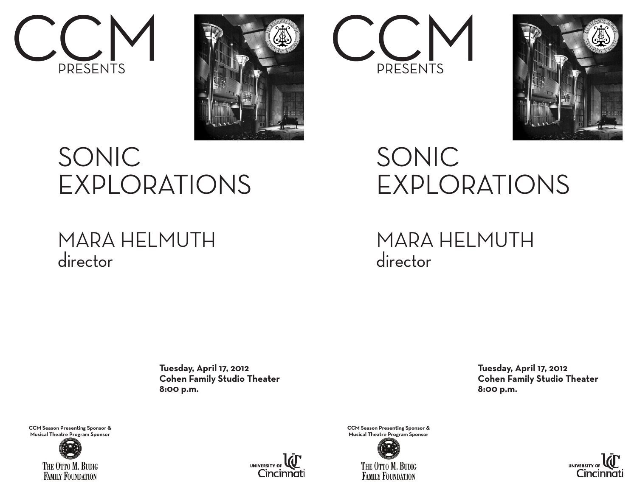



## SONIC EXPLORATIONS

## MARA HELMUTH director

 **Tuesday, April 17, 2012 Cohen Family Studio Theater 8:00 p.m.**

**CCM Season Presenting Sponsor & Musical Theatre Program Sponsor**